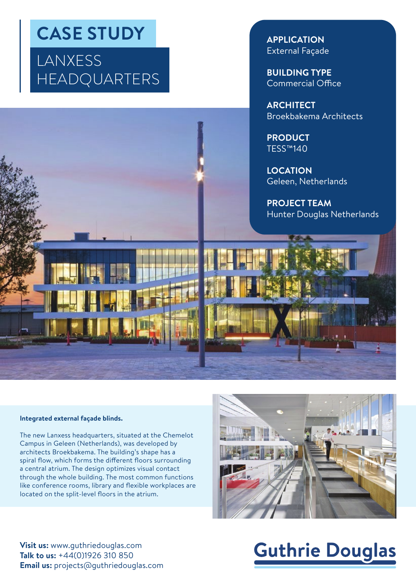## **CASE STUDY**

### LANXESS HEADQUARTERS

**APPLICATION** External Façade

**BUILDING TYPE** Commercial Office

**ARCHITECT** Broekbakema Architects

**PRODUCT** TESS™140

**LOCATION** Geleen, Netherlands

**PROJECT TEAM** Hunter Douglas Netherlands



#### **Integrated external façade blinds.**

The new Lanxess headquarters, situated at the Chemelot Campus in Geleen (Netherlands), was developed by architects Broekbakema. The building's shape has a spiral flow, which forms the different floors surrounding a central atrium. The design optimizes visual contact through the whole building. The most common functions like conference rooms, library and flexible workplaces are located on the split-level floors in the atrium.



**Visit us:** www.guthriedouglas.com **Talk to us:** +44(0)1926 310 850 **Email us:** projects@guthriedouglas.com

# **Guthrie Douglas**